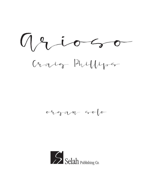Arioso Craig Phillips

organ solo

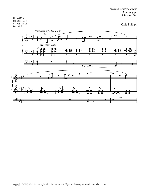in memory of Peter and Lois Fyfe

Arioso

**Craig Phillips** 

Ch.: soft 8', 4'<br>Sw.: Tpt. 8', Fl. 8'<br>Gt.: Pr. 8', Sw./Gt. Ped.: soft 8'

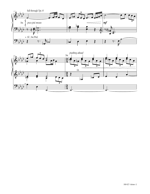

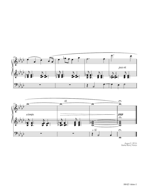



August 2, 2016<br>Alet-les Bains, France